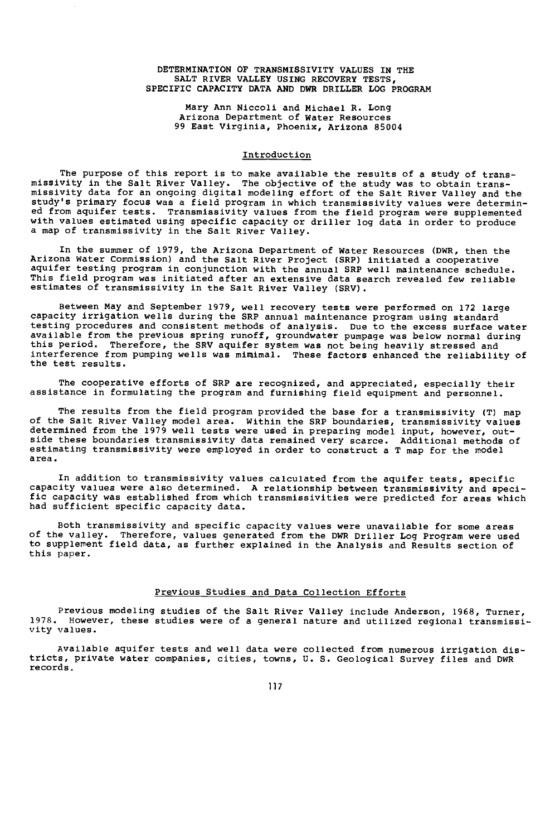## DETERMINATION OF TRANSMISSIVITY VALUES IN THE SALT RIVER VALLEY USING RECOVERY TESTS, SPECIFIC CAPACITY DATA AND DWR DRILLER LOG PROGRAM

Mary Ann Niccoli and Michael R. Long Arizona Department of Water Resources 99 East Virginia, Phoenix, Arizona 85004

## Introduction

The purpose of this report is to make available the results of a study of transmissivity in the Salt River Valley. The objective of the study was to obtain trans missivity data for an ongoing digital modeling effort of the Salt River Valley and the study's primary focus was a field program in which transmissivity values were determin-ed from aquifer tests. Transmissivity values from the field program were supplemented with values estimated using specific capacity or driller log data in order to produce a map of transmissivity in the Salt River Valley.

In the summer of 1979, the Arizona Department of water Resources (DWR, then the Arizona Water Commission) and the Salt River Project (SRP) initiated a cooperative aquifer testing program in conjunction with the annual SRP well maintenance schedule. This field program was initiated after an extensive data search revealed few reliable estimates of transmissivity in the Salt River Valley (SRV).

Between May and September 1979, well recovery tests were performed on 172 large capacity irrigation wells during the SRP annual maintenance program using standard testing procedures and consistent methods of analysis. Due to the excess surface water available from the previous spring runoff, groundwater pumpage was below normal during this period. Therefore, the SRV aquifer system was not being heavily stressed and interference from pumping wells was minimal. These factors enhanced the reliability of the test results.

The cooperative efforts of SRP are recognized, and appreciated, especially their assistance in formulating the program and furnishing field equipment and personnel.

The results from the field program provided the base for a transmissivity (T) map of the Salt River Valley model area. Within the SRP boundaries, transmissivity values determined from the 1979 well tests were used in preparing model input, however, outside these boundaries transmissivity data remained very scarce. Additional methods of estimating transmissivity were employed in order to construct a T map for the model area.

In addition to transmissivity values calculated from the aquifer tests, specific capacity values were also determined. A relationship between transmissivity and specific capacity was established from which transmissivities were predicted for areas which had sufficient specific capacity data.

Both transmissivity and specific capacity values were unavailable for some areas of the valley. Therefore, values generated from the DWR Driller Log Program were used to supplement field data, as further explained in the Analysis and Results section of this paper.

# Previous Studies and Data Collection Efforts

Previous modeling studies of the Salt River Valley include Anderson, 1968, Turner, 1978. However, these studies were of a general nature and utilized regional transmissivity values.

Available aquifer tests and well data were collected from numerous irrigation districts, private water companies, cities, towns, U. S. Geological Survey files and DWR records.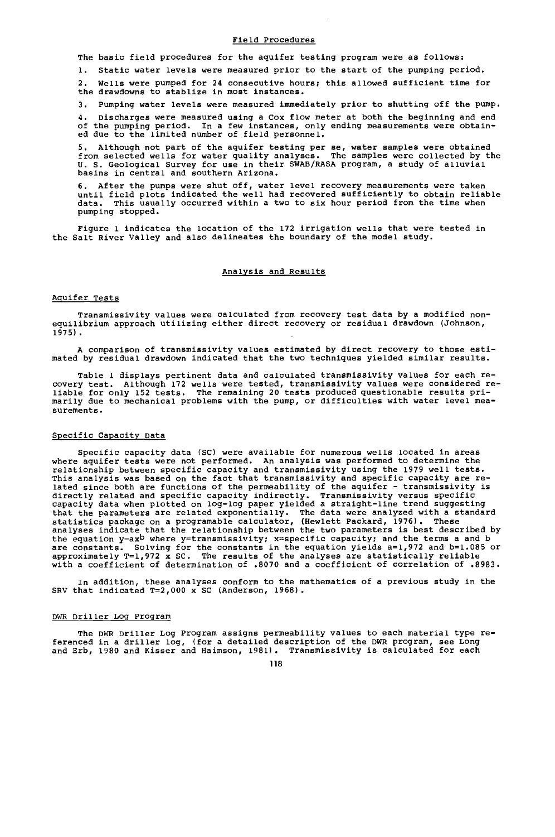# Field Procedures

The basic field procedures for the aquifer testing program were as follows:

1. Static water levels were measured prior to the start of the pumping period.

2. Wells were pumped for 24 consecutive hours; this allowed sufficient time for the drawdowns to stablize in most instances.

3. Pumping water levels were measured immediately prior to shutting off the pump.

4. Discharges were measured using a Cox flow meter at both the beginning and end of the pumping period. In a few instances, only ending measurements were obtain-ed due to the limited number of field personnel.

5. Although not part of the aquifer testing per se, water samples were obtained<br>from selected wells for water quality analyses. The samples were collected by the<br>U. S. Geological Survey for use in their SWAB/RASA program, basins in central and southern Arizona.

6. After the pumps were shut off, water level recovery measurements were taken until field plots indicated the well had recovered sufficiently to obtain reliable data. This usually occurred within a two to six hour period from the time when pumping stopped.

Figure 1 indicates the location of the 172 irrigation wells that were tested in the Salt River Valley and also delineates the boundary of the model study.

## Analysis and Results

## Aquifer Tests

Transmissivity values were calculated from recovery test data by a modified nonequilibrium approach utilizing either direct recovery or residual drawdown (Johnson, 1975).

A comparison of transmissivity values estimated by direct recovery to those estimated by residual drawdown indicated that the two techniques yielded similar results.

Table 1 displays pertinent data and calculated transmissivity values for each recovery test. Although 172 wells were tested, transmissivity values were considered re-liable for only 152 tests. The remaining 20 tests produced questionable results primarily due to mechanical problems with the pump, or difficulties with water level measurements.

## Specific Capacity Data

Specific capacity data (SC) were available for numerous wells located in areas where aquifer tests were not performed. An analysis was performed to determine the relationship between specific capacity and transmissivity using the 1979 well tests. This analysis was based on the fact that transmissivity and specific capacity are related since both are functions of the permeability of the aquifer - transmissivity is directly related and specific capacity indirectly. Transmissivity versus specific<br>capacity data when plotted on log-log paper yielded a straight-line trend suggesting that the parameters are related exponentially. The data were analyzed with a standard statistics package on a programable calculator, (Hewlett Packard, 1976). These analyses indicate that the relationship between the two parameters is best described by the equation  $y = ax^b$  where  $y =$  transmissivity;  $x =$  specific capacity; and the terms a and b are constants. Solving for the constants in the equation yields a=1,972 and b=1.085 or<br>approximately T=1,972 x SC. The results of the analyses are statistically reliable<br>with a coefficient of determination of .8070 and a

In addition, these analyses conform to the mathematics of a previous study in the<br>SRV that indicated T=2,000 x SC (Anderson, 1968).

## DWR Driller Log Program

The DWR Driller Log Program assigns permeability values to each material type referenced in a driller log, (for a detailed description of the DWR program, see Long and Erb, 1980 and Kisser and Haimson, 1981). Transmissivity is calculated for each

118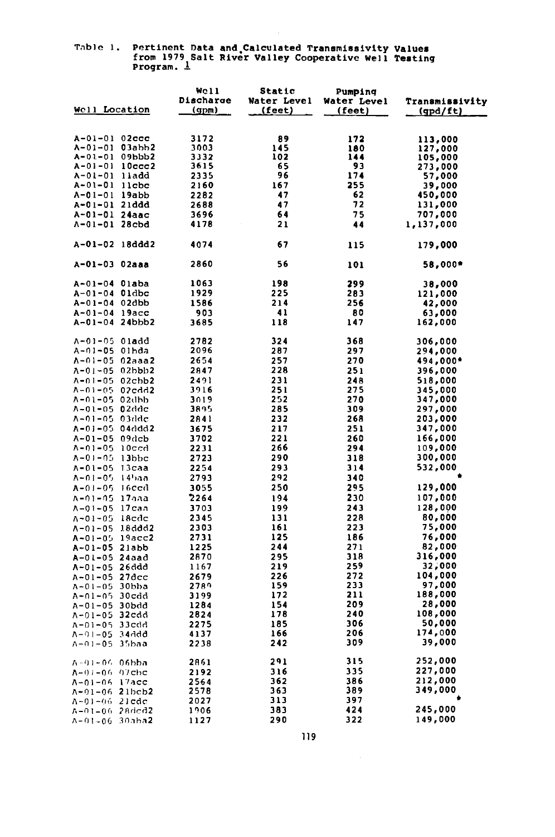# Table 1. Pertinent Data and Calculated Transmissivity Values<br>from 1979 Salt River Valley Cooperative Well Testing<br>Program. 1

 $\bar{z}$ 

|                     |              | Well      | Static      | Pumping     |                 |
|---------------------|--------------|-----------|-------------|-------------|-----------------|
|                     |              | Discharge | Water Level | Water Level | Transmissivity  |
| Well Location       |              | (gpm)     | (feet)      | (feet)      | <u>(gpd/ft)</u> |
|                     |              |           |             |             |                 |
|                     |              |           |             |             |                 |
| $A - 01 - 01$ 02ccc |              | 3172      | 89          | 172         | 113,000         |
| A-01-01 03abb2      |              | 3003      | 145         | 180         | 127,000         |
| A-01-01 09bbb2      |              | 3332      | 102         | 144         | 105,000         |
| A-01-01 10ccc2      |              | 3615      | 65          | 93          | 273,000         |
| A-01-01 lladd       |              | 2335      | 96          | 174         | 57,000          |
| A-01-01 llcbc       |              | 2160      | 167         | 255         | 39,000          |
| A-01-01 19abb       |              | 2282      | 47          | 62          | 450,000         |
| A-01-01 21ddd       |              | 2688      | 47          | 72          | 131,000         |
| A-01-01 24aac       |              | 3696      | 64          | 75          | 707,000         |
| $A - 01 - 01$ 28cbd |              | 4178      | 21          | 44          | 1,137,000       |
|                     |              |           |             |             |                 |
| A-01-02 18ddd2      |              | 4074      | 67          | 115         | 179,000         |
|                     |              |           |             |             |                 |
| A-01-03 02aaa       |              | 2860      | 56          | 101         | 58,000*         |
|                     |              |           |             |             |                 |
| A-01-04 Olaba       |              | 1063      | 198         | 299         | 38,000          |
| A-01-04 01dbc       |              | 1929      | 225         | 283         | 121,000         |
| A-01-04 02dbb       |              | 1586      | 214         | 256         | 42,000          |
| A-01-04 19acc       |              | 903       | 41          | 80          | 63,000          |
| A-01-04 24bbb2      |              | 3685      | 118         | 147         | 162,000         |
|                     |              |           |             |             |                 |
| A-01-05 Oladd       |              | 2782      | 324         | 368         | 306,000         |
| A-01-05 01hda       |              | 2096      | 287         | 297         | 294,000         |
| A-01-05 02aaa2      |              | 2654      | 257         | 270         | 494,000*        |
| A-01-05 02bbb2      |              | 2847      | 228         | 251         | 396,000         |
| $A - 01 - 05$       | $02$ chb $2$ | 2491      | 231         | 248         | 518,000         |
| $A - 01 - 05$       | 02cdd2       | 3916      | 251         | 275         | 345,000         |
| A-01-05 02dbb       |              | 3019      | 252         | 270         | 347,000         |
| A-01-05 02ddc       |              | 3895      | 285         | 309         | 297,000         |
| $1 - 01 - 05$       | -03ddc       | 2841      | 232         | 268         | 203,000         |
| A-01-05 04ddd2      |              | 3675      | 217         | 251         | 347,000         |
| $A - 01 - 05$ 09dcb |              | 3702      | 221         | 260         | 166,000         |
| $1 - 01 - 05$       | 10ccd        | 2231      | 266         | 294         | 109,000         |
| $A - 01 - 05$       | $13$ bbc     | 2723      | 290         | 318         | 300,000         |
| $1 - 01 - 05$       | 13саа        | 2254      | 293         | 314         | 532,000         |
| $N - 01 - 05$       | -l 4haa      | 2793      | 292         | 340         |                 |
| $A - 01 - 05$       | -16ccd       | 3055      | 250         | 295         | 129,000         |
| A-01-05 17aaa       |              | 2264      | 194         | 230         | 107,000         |
| $A - 01 - 05$       | 17caa        | 3703      | 199         | 243         | 128,000         |
|                     |              |           | 131         | 228         | 80,000          |
| $\Lambda - 01 - 05$ | 18cdc        | 2345      | 161         | 223         | 75,000          |
| A-01-05 18ddd2      |              | 2303      | 125         | 186         | 76,000          |
| $A - 01 - 05$       | 19acc2       | 2731      | 244         | 271         | 82,000          |
| A-01-05 21abb       |              | 1225      |             |             |                 |
| A-01-05 24aad       |              | 2870      | 295         | 318         | 316,000         |
| A-01-05 26ddd       |              | 1167      | 219         | 259         | 32,000          |
| A-01-05             | 27dcc        | 2679      | 226         | 272         | 104,000         |
| $A - 01 - 05$       | 30bba        | 2789      | 159         | 233         | 97,000          |
| A-01-05 30cdd       |              | 3199      | 172         | 211         | 188,000         |
| A-01-05 30bdd       |              | 1284      | 154         | 209         | 28,000          |
| A-01-05             | 32cdd        | 2824      | 178         | 240         | 108,000         |
| A-01-05 33cdd       |              | 2275      | 185         | 306         | 50,000          |
| A-01-05 34ddd       |              | 4137      | 166         | 206         | 174,000         |
| A-01-05 35baa       |              | 2238      | 242         | 309         | 39,000          |
|                     |              |           |             |             |                 |
| A-01-06 06bba       |              | 2861      | 291         | 315         | 252,000         |
| $A-01-06-07$ chc    |              | 2192      | 316         | 335         | 227,000         |
| A-01-06 17acc       |              | 2564      | 362         | 386         | 212,000         |
| A-01-06 21bcb2      |              | 2578      | 363         | 389         | 349,000         |
| $A - 01 - 06$ 21cdc |              | 2027      | 313         | 397         |                 |
| A-01-06 28dcd2      |              | 1906      | 383         | 424         | 245,000         |
| A-01-06 30aba2      |              | 1127      | 290         | 322         | 149,000         |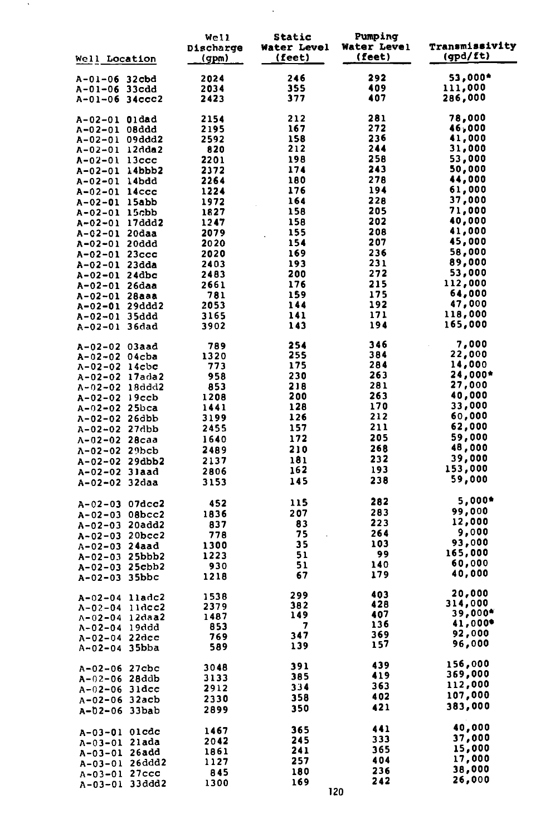| <b>Well Location</b>                | Well<br>Discharge<br>(gpm) | Static<br>Water Level<br>(feet) | Pumping<br>Water Level<br>(feet) | Transmissivity<br>(gpd/ft) |
|-------------------------------------|----------------------------|---------------------------------|----------------------------------|----------------------------|
| A-01-06 32cbd                       | 2024                       | 246                             | 292                              | 53,000*                    |
| A-01-06 33cdd                       | 2034                       | 355                             | 409                              | 111,000                    |
| $A-01-06$ 34ccc2                    | 2423                       | 377                             | 407                              | 286,000                    |
| A-02-01 Oldad                       | 2154                       | 212                             | 281                              | 78,000                     |
| A-02-01 08ddd                       | 2195                       | 167                             | 272                              | 46,000                     |
| A-02-01 09ddd2                      | 2592                       | 158                             | 236                              | 41,000                     |
| A-02-01 12dda2<br>$A-02-01$ 13ccc   | 820<br>2201                | 212<br>198                      | 244<br>258                       | 31,000<br>53,000           |
| A-02-01 14bbb2                      | 2372                       | 174                             | 243                              | 50,000                     |
| A-02-01 14bdd                       | 2264                       | 180                             | 278                              | 44,000                     |
| A-02-01 14ccc                       | 1224                       | 176                             | 194                              | 61,000                     |
| A-02-01 15abb                       | 1972                       | 164                             | 228                              | 37,000                     |
| A-02-01 15cbb                       | 1827                       | 158                             | 205                              | 71,000                     |
| A-02-01 17ddd2                      | 1247                       | 158                             | 202                              | 40,000                     |
| A-02-01 20daa                       | 2079                       | 155                             | 208<br>207                       | 41,000<br>45,000           |
| A-02-01 20ddd<br>A-02-01 23ccc      | 2020<br>2020               | 154<br>169                      | 236                              | 58,000                     |
| A-02-01 23dda                       | 2403                       | 193                             | 231                              | 89,000                     |
| A-02-01 24dbc                       | 2483                       | 200                             | 272                              | 53,000                     |
| A-02-01 26daa                       | 2661                       | 176                             | 215                              | 112,000                    |
| A-02-01 28aaa                       | 781                        | 159                             | 175                              | 64,000                     |
| A-02-01 29ddd2                      | 2053                       | 144                             | 192                              | 47,000                     |
| A-02-01 35ddd<br>A-02-01 36dad      | 3165<br>3902               | 141<br>143                      | 171<br>194                       | 118,000<br>165,000         |
|                                     |                            |                                 | 346                              | 7,000                      |
| A-02-02 03aad<br>A-02-02 04cba      | 789<br>1320                | 254<br>255                      | 384                              | 22,000                     |
| A-02-02 14cbc                       | 773                        | 175                             | 284                              | 14,000                     |
| A-02-02 17ada2                      | 958                        | 230                             | 263                              | 24,000*                    |
| A-02-02 18ddd2                      | 853                        | 218                             | 281                              | 27,000                     |
| A-02-02 19ccb                       | 1208                       | 200                             | 263                              | 40,000                     |
| A-02-02 25bca                       | 1441                       | 128                             | 170                              | 33,000                     |
| A-02-02 26dbb                       | 3199                       | 126                             | 212<br>211                       | 60,000<br>62,000           |
| A-02-02 27dbb                       | 2455<br>1640               | 157<br>172                      | 205                              | 59,000                     |
| A-02-02 28caa<br>A-02-02 29bcb      | 2489                       | 210                             | 268                              | 48,000                     |
| A-02-02 29dbb2                      | 2137                       | 181                             | 232                              | 39,000                     |
| A-02-02 31aad                       | 2806                       | 162                             | 193                              | 153,000                    |
| A-02-02 32daa                       | 3153                       | 145                             | 238                              | 59,000                     |
| A-02-03 07dcc2                      | 452                        | 115                             | 282                              | 5,000◆                     |
| A-02-03 08bcc2                      | 1836                       | 207                             | 283                              | 99,000                     |
| A-02-03 20add2                      | 837                        | 83                              | 223                              | 12,000                     |
| A-02-03 20bcc2                      | 778                        | 75                              | 264                              | 9,000<br>93,000            |
| A-02-03 24aad                       | 1300                       | 35<br>51                        | 103<br>99                        | 165,000                    |
| A-02-03 25bbb2                      | 1223<br>930                | 51                              | 140                              | 60,000                     |
| A-02-03 25cbb2<br>A-02-03 35bbc     | 1218                       | 67                              | 179                              | 40,000                     |
| A-02-04 lladc2                      | 1538                       | 299                             | 403                              | 20,000                     |
| $11$ dcc2<br>A-02-04                | 2379                       | 382                             | 428                              | 314,000                    |
| A-02-04 12daa2                      | 1487                       | 149                             | 407                              | 39,000*                    |
| A-02-04 19ddd                       | 853                        | 7                               | 136                              | 41,000*                    |
| A-02-04 22dcc                       | 769                        | 347<br>139                      | 369<br>157                       | 92,000<br>96,000           |
| A-02-04 35bba                       | 589                        |                                 |                                  |                            |
| A-02-06 27cbc                       | 3048                       | 391<br>385                      | 439<br>419                       | 156,000<br>369,000         |
| 28ddb<br>A-02-06<br>$A-02-06$ 31dcc | 3133<br>2912               | 334                             | 363                              | 112,000                    |
| A-02-06 32acb                       | 2330                       | 358                             | 402                              | 107,000                    |
| A-02-06 33bab                       | 2899                       | 350                             | 421                              | 383,000                    |
| A-03-01 01cdc                       | 1467                       | 365                             | 441                              | 40,000                     |
| A-03-01 21ada                       | 2042                       | 245                             | 333                              | 37,000                     |
| A-03-01 26add                       | 1861                       | 241                             | 365                              | 15,000                     |
| A-03-01 26ddd2                      | 1127                       | 257                             | 404                              | 17,000                     |
| A-03-01 27ccc                       | 845                        | 180                             | 236<br>242                       | 38,000<br>26,000           |
| A-03-01 33ddd2                      | 1300                       | 169                             | 120                              |                            |

 $\mathcal{L}_{\mathrm{max}}$ 

 $\lambda$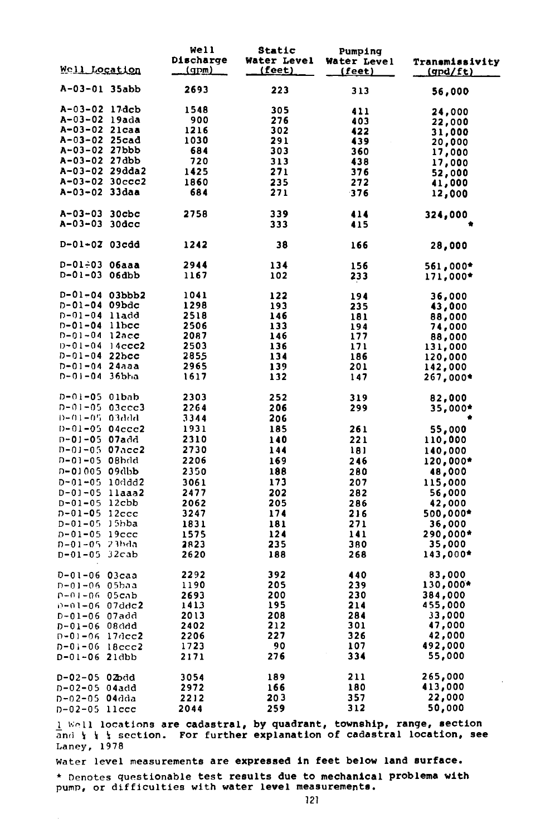|                                      |              | Well<br>Discharge | Static<br><b>Water Level</b> | Pumping<br>Water Level | Transmissivity      |
|--------------------------------------|--------------|-------------------|------------------------------|------------------------|---------------------|
| <u>Well Location</u>                 |              | <u>(gpm)</u>      | (feet)                       | <u>(feet)</u>          | (gpd/ft)            |
| A-03-01 35abb                        |              | 2693              | 223                          | 313                    | 56,000              |
| A-03-02 17dcb                        |              | 1548              | 305                          | 411                    | 24,000              |
| A-03-02 19ada                        |              | 900               | 276                          | 403                    | 22,000              |
| A-03-02 21caa                        |              | 1216              | 302                          | 422                    | 31,000              |
| A-03-02 25cad                        |              | 1030              | 291                          | 439                    | 20,000              |
| A-03-02 27bbb                        |              | 684               | 303                          | 360                    | 17,000              |
| A-03-02 27dbb                        |              | 720               | 313                          | 438                    | 17,000              |
| A-03-02 29dda2                       |              | 1425              | 271                          | 376                    | 52,000              |
| A-03-02 30ccc2                       |              | 1860              | 235                          | 272                    | 41,000              |
| A-03-02 33daa                        |              | 684               | 271                          | 376                    | 12,000              |
| A-03-03                              | $30$ cbc     | 2758              | 339                          | 414                    | 324,000             |
| A-03-03 30dcc                        |              |                   | 333                          | 415                    |                     |
| D-01-02 03cdd                        |              | 1242              | 38                           | 166                    | 28,000              |
| D-01-03 06aaa                        |              | 2944              | 134                          | 156                    | 561,000*            |
| $D-01-03$ 06dbb                      |              | 1167              | 102                          | 233                    | 171,000*            |
| $D-01-04$ 03bbb2                     |              | 1041              | 122                          | 194                    | 36,000              |
| D-01-04 09bdc                        |              | 1298              | 193                          | 235                    | 43,000              |
| D-01-04 lladd                        |              | 2518              | 146                          | 181                    | 88,000              |
| $D - 01 - 04$ llbcc                  |              | 2506              | 133                          | 194                    | 74,000              |
| D-01-04 12acc                        |              | 2087              | 146                          | 177                    | 88,000              |
| D-01-04                              | $14$ ccc $2$ | 2503              | 136                          | 171                    | 131,000             |
| $D - 01 - 04$ 22bcc<br>D-01-04 24aaa |              | 2855              | 134                          | 186                    | 120,000             |
| D-01-04                              | 36bha        | 2965<br>1617      | 139<br>132                   | 201<br>147             | 142,000<br>267,000* |
| D-01-05 01bab                        |              | 2303              | 252                          | 319                    | 82,000              |
| D-01-05 03ccc3                       |              | 2264              | 206                          | 299                    | 35,000*             |
| D=01=05-03ddd                        |              | 3344              | 206                          |                        |                     |
| $D - 01 - 05$ 04ccc2                 |              | 1931              | 185                          | 261                    | 55,000              |
| n-01-05 07add                        |              | 2310              | 140                          | 221                    | 110,000             |
| D-01-05 07acc2                       |              | 2730              | 144                          | 181                    | 140,000             |
| D-01-05 08hdd                        |              | 2206              | 169                          | 246                    | 120,000*            |
| D-01005 09db <b>b</b>                |              | 2350              | 188                          | 280                    | 48,000              |
| D-01-05 10ddd2                       |              | 3061              | 173                          | 207                    | 115,000             |
| D-01-05 llaaa2                       |              | 2477              | 202                          | 282                    | 56,000              |
| $D - 01 - 05$ 12cbb                  |              | 2062              | 205                          | 286                    | 42,000              |
| $D - 01 - 05$ 12ccc                  |              | 3247              | 174                          | 216                    | 500,000*            |
| D-01-05 15bba                        |              | 1831              | 181                          | 271                    | 36,000              |
| D-01-05 19ccc                        |              | 1575              | 124                          | 141                    | 290,000*            |
| D-01-05 23bda                        |              | 2823              | 235                          | 380                    | 35,000              |
| D-01-05 32cab                        |              | 2620              | 188                          | 268                    | 143,000*            |
| D-01-06 03caa                        |              | 2292              | 392                          | 440                    | 83,000              |
| D-01-06 05baa                        |              | 1190              | 205                          | 239                    | 130,000*            |
| n+ni+06 05cab                        |              | 2693              | 200                          | 230                    | 384,000             |
| D-01-06 07dd <b>c2</b>               |              | 1413              | 195                          | 214                    | 455,000             |
| D-01-06 07add                        |              | 2013              | 208                          | 284                    | 33,000              |
| D-01-06 08ddd                        |              | 2402              | 212                          | 301                    | 47,000              |
| $D - 01 - 06$                        | $17$ dec $2$ | 2206              | 227                          | 326                    | 42,000              |
| $D - 01 - 06$                        | 18ccc2       | 1723              | 90                           | 107                    | 492,000             |
| D-01-06 21dbb                        |              | 2171              | 276                          | 334                    | 55,000              |
| D-02-05 02bdd                        |              | 3054              | 189                          | 211                    | 265,000             |
| D-02-05                              | 04add        | 2972              | 166                          | 180                    | 413,000             |
| $D - 02 - 05$                        | 04dda        | 2212              | 203                          | 357                    | 22,000              |
| D-02-05 llccc                        |              | 2044              | 259                          | 312                    | 50,000              |

 $\frac{1}{2}$  Well locations are cadastral, by quadrant, township, range, section and  $\frac{1}{2}$  section. For further explanation of cadastral location, see Laney, 1978

Water level measurements are expressed in feet below land surface.

\* Denotes questionable test results due to mechanical problema with pump, or difficulties with water level measurements.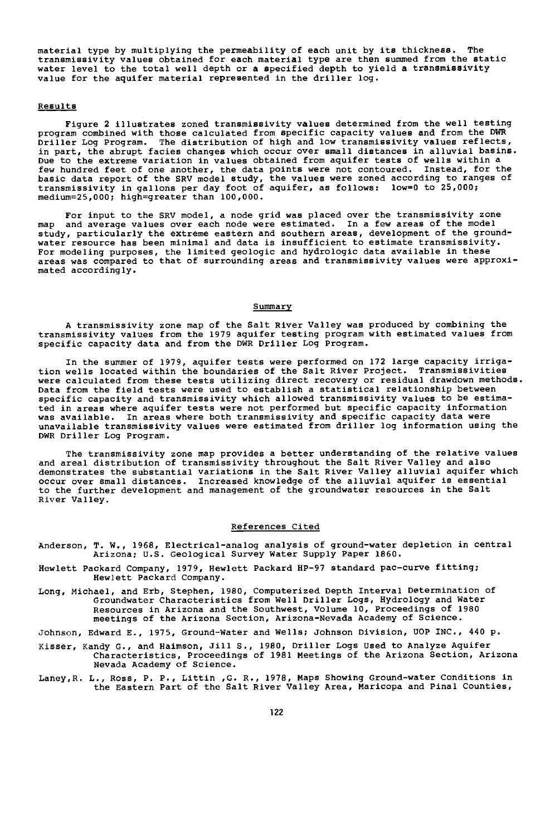material type by multiplying the permeability of each unit by its thickness. The transmissivity values obtained for each material type are then summed from the static water level to the total well depth or a specified depth to yield a transmissivity value for the aquifer material represented in the driller log.

## Results

Figure 2 illustrates zoned transmissivity values determined from the well testing program combined with those calculated from specific capacity values and from the DWR Driller Log Program. The distribution of high and low transmissivity values reflects, in part, the abrupt facies changes which occur over small distances in alluvial basins. Due to the extreme variation in values obtained from aquifer tests of wells within a few hundred feet of one another, the data points were not contoured. Instead, for the basic data report of the SRV model study, the values were zoned according to ranges of<br>transmissivity in gallons per day foot of aquifer, as follows: low=0 to 25,000;<br>medium=25,000; high=greater than 100,000.

For input to the SRV model, a node grid was placed over the transmissivity zone map and average values over each node were estimated. In a few areas of the model study, particularly the extreme eastern and southern areas, development of the groundwater resource has been minimal and data is insufficient to estimate transmissivity. For modeling purposes, the limited geologic and hydrologic data available in these areas was compared to that of surrounding areas and transmissivity values were approximated accordingly.

## Summary

A transmissivity zone map of the Salt River Valley was produced by combining the transmissivity values from the 1979 aquifer testing program with estimated values from specific capacity data and from the DWR Driller Log Program.

In the summer of 1979, aquifer tests were performed on 172 large capacity irrigation wells located within the boundaries of the Salt River Project. Transmissivities were calculated from these tests utilizing direct recovery or residual drawdown methods. Data from the field tests were used to establish a statistical relationship between specific capacity and transmissivity which allowed transmissivity values to be estimated in areas where aquifer tests were not performed but specific capacity information was available. In areas where both transmissivity and specific capacity data were unavailable transmissivity values were estimated from driller log information using the DWR Driller Log Program.

The transmissivity zone map provides a better understanding of the relative values and areal distribution of transmissivity throughout the Salt River Valley and also demonstrates the substantial variations in the Salt River Valley alluvial aquifer which<br>occur over small distances. Increased knowledge of the alluvial aquifer is essential<br>to the further development and management of the River Valley.

## References Cited

Anderson, T. W., 1968, Electrical-analog analysis of ground-water depletion in central Arizona; U.S. Geological Survey Water Supply Paper 1860.

- Hewlett Packard Company, 1979, Hewlett Packard HP-97 standard pac-curve fitting; Hewlett Packard Company.
- Long, Michael, and Erb, Stephen, 1980, Computerized Depth Interval Determination of Groundwater Characteristics from Well Driller Logs, Hydrology and Water Resources in Arizona and the Southwest, Volume 10, Proceedings of 1980 meetings of the Arizona Section, Arizona -Nevada Academy of Science.

Johnson, Edward E., 1975, Ground -Water and Wells; Johnson Division, UOP INC., 440 p.

- Kisser, Kandy G., and Haimson, Jill S., 1980, Driller Logs Used to Analyze Aquifer Characteristics, Proceedings of 1981 Meetings of the Arizona Section, Arizona Nevada Academy of Science.
- Laney,R. L., Ross, P. P., Littin ,G. R., 1978, Maps Showing Ground -water Conditions in the Eastern Part of the Salt River Valley Area, Maricopa and Pinal Counties,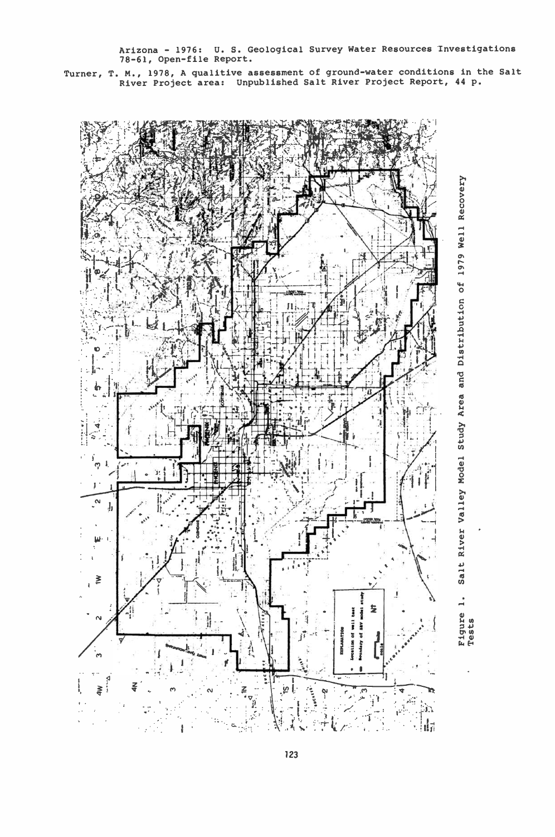Arizona - 1976: U. S. Geological Survey Water Resources Investigations 78-61, Open-file Report.

Turner, T. M., 1978, A qualitive assessment of ground -water conditions in the Salt River Project area Unpublished Salt River Project Report, 44 p.



Salt River Valley Model Study Area and Distribution of 1979 Well Recovery Figure<br>Tests<br>Tests